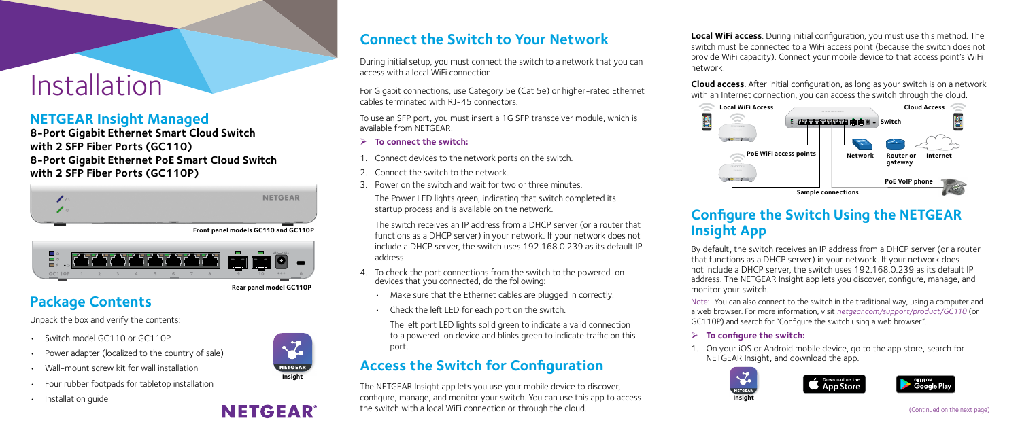## Installation

## **Connect the Switch to Your Network**

During initial setup, you must connect the switch to a network that you can access with a local WiFi connection.

For Gigabit connections, use Category 5e (Cat 5e) or higher-rated Ethernet cables terminated with RJ-45 connectors.

To use an SFP port, you must insert a 1G SFP transceiver module, which is available from NETGEAR.

- 4. To check the port connections from the switch to the powered-on devices that you connected, do the following:
	- Make sure that the Ethernet cables are plugged in correctly.
	- Check the left LED for each port on the switch.
- ¾ **To connect the switch:**
- 1. Connect devices to the network ports on the switch.
- 2. Connect the switch to the network.
- 3. Power on the switch and wait for two or three minutes.

The Power LED lights green, indicating that switch completed its startup process and is available on the network.

The switch receives an IP address from a DHCP server (or a router that functions as a DHCP server) in your network. If your network does not include a DHCP server, the switch uses 192.168.0.239 as its default IP address.

The left port LED lights solid green to indicate a valid connection to a powered-on device and blinks green to indicate traffic on this port.

## **Access the Switch for Configuration**

The NETGEAR Insight app lets you use your mobile device to discover, configure, manage, and monitor your switch. You can use this app to access the switch with a local WiFi connection or through the cloud.

### **NETGEAR Insight Managed**

**8-Port Gigabit Ethernet Smart Cloud Switch with 2 SFP Fiber Ports (GC110) 8-Port Gigabit Ethernet PoE Smart Cloud Switch with 2 SFP Fiber Ports (GC110P)**

## **Package Contents**

Unpack the box and verify the contents:

- Switch model GC110 or GC110P
- Power adapter (localized to the country of sale)
- Wall-mount screw kit for wall installation
- Four rubber footpads for tabletop installation
- Installation guide

**Local WiFi access**. During initial configuration, you must use this method. The switch must be connected to a WiFi access point (because the switch does not provide WiFi capacity). Connect your mobile device to that access point's WiFi network.

**Cloud access**. After initial configuration, as long as your switch is on a network with an Internet connection, you can access the switch through the cloud.

# **Configure the Switch Using the NETGEAR**

## **Insight App**

By default, the switch receives an IP address from a DHCP server (or a router that functions as a DHCP server) in your network. If your network does not include a DHCP server, the switch uses 192.168.0.239 as its default IP address. The NETGEAR Insight app lets you discover, configure, manage, and

monitor your switch.

Note: You can also connect to the switch in the traditional way, using a computer and a web browser. For more information, visit *[netgear.com/support/product/GC110](www.netgear.com/support/product/GC110)* (or GC110P) and search for "Configure the switch using a web browser".

#### ¾ **To configure the switch:**

1. On your iOS or Android mobile device, go to the app store, search for NETGEAR Insight, and download the app.







**Rear panel model GC110P** 

**NETGEAR** 





**Front panel models GC110 and GC110P** 



(Continued on the next page)